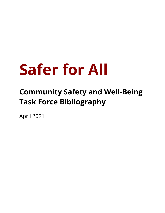## **Safer for All**

## **Community Safety and Well-Being Task Force Bibliography**

April 2021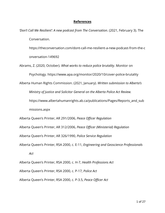## **References**

*'Don't Call Me Resilient': A new podcast from The Conversation*. (2021, February 3). The Conversation.

https://theconversation.com/dont-call-me-resilient-a-new-podcast-from-the-c onversation-149692

Abrams, Z. (2020, October). *What works to reduce police brutality*. Monitor on Psychology. https://www.apa.org/monitor/2020/10/cover-police-brutality

Alberta Human Rights Commission. (2021, January). *Written submission to Alberta's*

*Ministry of Justice and Solicitor General on the Alberta Police Act Review.*

https://www.albertahumanrights.ab.ca/publications/Pages/Reports\_and\_sub

missions.aspx

Alberta Queen's Printer, AR 291/2006, *Peace Officer Regulation*

Alberta Queen's Printer, AR 312/2006, *Peace Officer (Ministerial) Regulation*

Alberta Queen's Printer, AR 326/1990, *Police Service Regulation*

Alberta Queen's Printer, RSA 2000, c. E-11, *Engineering and Geoscience Professionals*

*Act*

Alberta Queen's Printer, RSA 2000, c. H-7, *Health Professions Act* Alberta Queen's Printer, RSA 2000, c. P-17, *Police Act* Alberta Queen's Printer, RSA 2000, c. P-3.5, *Peace Officer Act*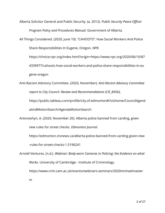Alberta Solicitor General and Public Security. (a. 2012). *Public Security Peace Officer Program Policy and Procedures Manual.* Government of Alberta.

All Things Considered. (2020, June 10). "CAHOOTS": How Social Workers And Police

Share Responsibilities In Eugene, Oregon. *NPR*.

https://choice.npr.org/index.html?origin=https://www.npr.org/2020/06/10/87

4339977/cahoots-how-social-workers-and-police-share-responsibilities-in-eu gene-oregon

Anti-Racism Advisory Committee. (2020, November). *Anti-Racism Advisory Committee report to City Council- Review and Recommendations* (CR\_8456).

https://public.tableau.com/profile/city.of.edmonton#!/vizhome/CouncilAgend aAndMotionSearch/AgendaMotionSearch

Antoneshyn, A. (2020, November 20). Alberta police banned from carding, given new rules for street checks. *Edmonton Journal*.

https://edmonton.ctvnews.ca/alberta-police-banned-from-carding-given-new -rules-for-street-checks-1.5196241

Arnold Ventures. (n.d.). *Webinar: Body-worn Cameras in Policing: the Evidence on what Works*. University of Cambridge - Institute of Criminology. https://www.crim.cam.ac.uk/events/webinars-seminars/2020michaelmaster

m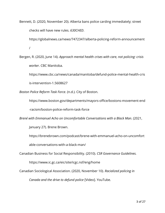Bennett, D. (2020, November 20). Alberta bans police carding immediately; street checks will have new rules. *630CHED*. https://globalnews.ca/news/7472347/alberta-policing-reform-announcement /

Bergen, R. (2020, June 14). *Approach mental health crises with care, not policing: crisis worker*. CBC Manitoba.

https://www.cbc.ca/news/canada/manitoba/defund-police-mental-health-cris is-intervention-1.5608627

*Boston Police Reform Task Force*. (n.d.). City of Boston.

https://www.boston.gov/departments/mayors-office/bostons-movement-end -racism/boston-police-reform-task-force

*Brené with Emmanuel Acho on Uncomfortable Conversations with a Black Man*. (2021,

January 27). Brene Brown.

https://brenebrown.com/podcast/brene-with-emmanuel-acho-on-uncomfort able-conversations-with-a-black-man/

Canadian Business for Social Responsibility. (2010). *CSR Governance Guidelines.*

https://www.ic.gc.ca/eic/site/icgc.nsf/eng/home

Canadian Sociological Association. (2020, November 10). *Racialized policing in*

*Canada and the drive to defund police* [Video]. YouTube.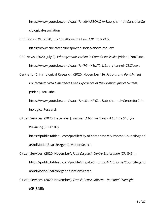https://www.youtube.com/watch?v=x04AF3QAOkw&ab\_channel=CanadianSo ciologicalAssociation

CBC Docs POV. (2020, July 16). Above the Law. *CBC Docs POV*.

https://www.cbc.ca/cbcdocspov/episodes/above-the-law

CBC News. (2020, July 9). *What systemic racism in Canada looks like* [Video]. YouTube.

https://www.youtube.com/watch?v=7GmX5stT9rU&ab\_channel=CBCNews

Centre for Criminological Research. (2020, November 19). *Prisons and Punishment*

*Conference: Lived Experience Lived Experience of the Criminal Justice System*.

[Video]. YouTube.

https://www.youtube.com/watch?v=c6IaiHFkZao&ab\_channel=CentreforCrim inologicalResearch

Citizen Services. (2020, December). *Recover Urban Wellness - A Culture Shift for Wellbeing* (CS00107)*.*

https://public.tableau.com/profile/city.of.edmonton#!/vizhome/CouncilAgend aAndMotionSearch/AgendaMotionSearch

Citizen Services. (2020, November). *Joint Dispatch Centre Exploration* (CR\_8454).

https://public.tableau.com/profile/city.of.edmonton#!/vizhome/CouncilAgend aAndMotionSearch/AgendaMotionSearch

Citizen Services. (2020, November). *Transit Peace Officers – Potential Oversight*

(CR\_8455)*.*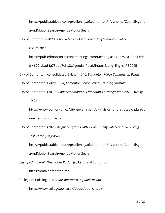https://public.tableau.com/profile/city.of.edmonton#!/vizhome/CouncilAgend aAndMotionSearch/AgendaMotionSearch

City of Edmonton (2020, July). *Referred Motion regarding Edmonton Police*

*Commission*.

https://pub-edmonton.escribemeetings.com/Meeting.aspx?Id=91010dc4-ede

0-4629-abad-fa73edd7c6c8&Agenda=PostMinutes&lang=English#82045

City of Edmonton, consolidated Bylaw 14040, *Edmonton Police Commission Bylaw*

City of Edmonton, Policy C604, *Edmonton Police Service Funding Formula*

City of Edmonton. (2019). *ConnectEdmonton, Edmonton's Strategic Plan 2019-2028* (p.

19-21).

https://www.edmonton.ca/city\_government/city\_vision\_and\_strategic\_plan/co nnectedmonton.aspx.

City of Edmonton. (2020, August). *Bylaw 19407 - Community Safety and Well-Being Task Force* (CR\_8452).

https://public.tableau.com/profile/city.of.edmonton#!/vizhome/CouncilAgend aAndMotionSearch/AgendaMotionSearch

*City of Edmonton's Open Data Portal*. (n.d.). City of Edmonton.

https://data.edmonton.ca/

College of Policing. (n.d.). *Our approach to public health.*

https://www.college.police.uk/about/public-health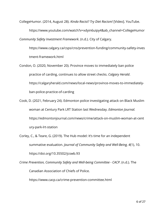CollegeHumor. (2014, August 28). *Kinda Racist? Try Diet Racism!* [Video]. YouTube.

https://www.youtube.com/watch?v=xdyin6uipy4&ab\_channel=CollegeHumor *Community Safety Investment Framework*. (n.d.). City of Calgary.

https://www.calgary.ca/csps/cns/prevention-funding/community-safety-inves tment-framework.html

- Condon, O. (2020, November 20). Province moves to immediately ban police practice of carding, continues to allow street checks. *Calgary Herald*. https://calgaryherald.com/news/local-news/province-moves-to-immediatelyban-police-practice-of-carding
- Cook, D. (2021, February 24). Edmonton police investigating attack on Black Muslim woman at Century Park LRT Station last Wednesday. *Edmonton Journal.* https://edmontonjournal.com/news/crime/attack-on-muslim-woman-at-cent ury-park-lrt-station
- Corley, C., & Teare, G. (2019). The Hub model: It's time for an independent summative evaluation. *Journal of Community Safety and Well-Being, 4*(1), 10. https://doi.org/10.35502/jcswb.93
- *Crime Prevention, Community Safety and Well-being Committee CACP*. (n.d.). The Canadian Association of Chiefs of Police. https://www.cacp.ca/crime-prevention-committee.html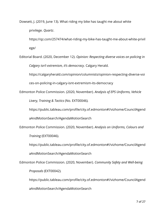Dowsett, J. (2019, June 13). What riding my bike has taught me about white privilege. *Quartz*.

https://qz.com/257474/what-riding-my-bike-has-taught-me-about-white-privil ege/

Editorial Board. (2020, December 12). *Opinion: Respecting diverse voices on policing in Calgary isn't extremism, it's democracy*. Calgary Herald.

https://calgaryherald.com/opinion/columnists/opinion-respecting-diverse-voi ces-on-policing-in-calgary-isnt-extremism-its-democracy

Edmonton Police Commission. (2020, November). *Analysis of EPS Uniforms, Vehicle*

*Livery, Training & Tactics* (No. EXT00046)*.*

https://public.tableau.com/profile/city.of.edmonton#!/vizhome/CouncilAgend

aAndMotionSearch/AgendaMotionSearch

Edmonton Police Commission. (2020, November). *Analysis on Uniforms, Colours and*

*Training* (EXT00046).

https://public.tableau.com/profile/city.of.edmonton#!/vizhome/CouncilAgend

aAndMotionSearch/AgendaMotionSearch

Edmonton Police Commission. (2020, November). *Community Safety and Well-being*

*Proposals* (EXT00042)*.*

https://public.tableau.com/profile/city.of.edmonton#!/vizhome/CouncilAgend aAndMotionSearch/AgendaMotionSearch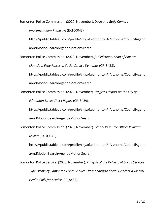Edmonton Police Commission. (2020, November). *Dash and Body Camera*

*Implementation Pathways* (EXT00043).

https://public.tableau.com/profile/city.of.edmonton#!/vizhome/CouncilAgend

aAndMotionSearch/AgendaMotionSearch

Edmonton Police Commission. (2020, November). *Jurisdictional Scan of Alberta*

*Municipal Experiences in Social Service Demands* (CR\_8438).

https://public.tableau.com/profile/city.of.edmonton#!/vizhome/CouncilAgend

aAndMotionSearch/AgendaMotionSearch

Edmonton Police Commission. (2020, November). *Progress Report on the City of*

*Edmonton Street Check Report* (CR\_8439)*.*

https://public.tableau.com/profile/city.of.edmonton#!/vizhome/CouncilAgend

aAndMotionSearch/AgendaMotionSearch

Edmonton Police Commission. (2020, November). *School Resource Officer Program*

*Review* (EXT00045).

https://public.tableau.com/profile/city.of.edmonton#!/vizhome/CouncilAgend

aAndMotionSearch/AgendaMotionSearch

Edmonton Police Service. (2020, November). *Analysis of the Delivery of Social Services Type Events by Edmonton Police Service - Responding to Social Disorder & Mental Health Calls for Service* (CR\_8437).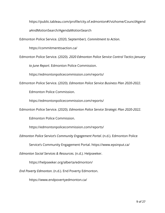https://public.tableau.com/profile/city.of.edmonton#!/vizhome/CouncilAgend

aAndMotionSearch/AgendaMotionSearch

Edmonton Police Service. (2020, September). *Commitment to Action*.

https://commitmenttoaction.ca/

Edmonton Police Service. (2020). *2020 Edmonton Police Service Control Tactics January*

*to June Report*. Edmonton Police Commission.

https://edmontonpolicecommission.com/reports/

Edmonton Police Service. (2020). *Edmonton Police Service Business Plan 2020-2022*.

Edmonton Police Commission.

https://edmontonpolicecommission.com/reports/

Edmonton Police Service. (2020). *Edmonton Police Service Strategic Plan 2020-2022*.

Edmonton Police Commission.

https://edmontonpolicecommission.com/reports/

*Edmonton Police Service's Community Engagement Portal*. (n.d.). Edmonton Police

Service's Community Engagement Portal. https://www.epsinput.ca/

*Edmonton Social Services & Resources.* (n.d.). Helpseeker.

https://helpseeker.org/alberta/edmonton/

*End Poverty Edmonton*. (n.d.). End Poverty Edmonton.

https://www.endpovertyedmonton.ca/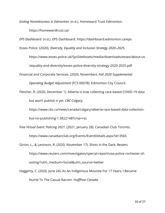*Ending Homelessness in Edmonton*. (n.d.). Homeward Trust Edmonton.

https://homewardtrust.ca/

*EPS Dashboard.* (n.d.). EPS Dashboard. https://dashboard.edmonton.ca/eps

Essex Police. (2020). *Diversity, Equality and Inclusion Strategy 2020–2025.*

https://www.essex.police.uk/SysSiteAssets/media/downloads/essex/about-us

/equality-and-diversity/essex-police-diversity-strategy-2020-2025.pdf

Financial and Corporate Services. (2020, November). *Fall 2020 Supplemental*

*Operating Budget Adjustment* (FCS 00078)*.* Edmonton City Council.

Fletcher, R. (2020, December 1). Alberta is now collecting race-based COVID-19 data but won't publish it yet. *CBC Calgary*.

https://www.cbc.ca/news/canada/calgary/alberta-race-based-data-collection-

but-no-publishing-1.5822148?cmp=rss

*Free Virtual Event: Policing 2021*. (2021, January 28). Canadian Club Toronto.

https://www.canadianclub.org/Events/EventDetails.aspx?id=3565

Girion, L., & Levinson, R. (2020, November 17). Shots in the Dark. *Reuters.*

https://www.reuters.com/investigates/special-report/usa-police-rochester-sh ooting/?utm\_medium=Social&utm\_source=twitter

Haggerty, C. (2020, June 24). As An Indigenous Mountie For 17 Years, I Became Numb To The Casual Racism. H*uffPost Canada.*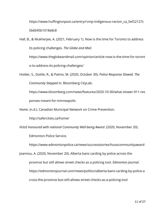https://www.huffingtonpost.ca/entry/rcmp-indigenous-racism\_ca\_5ef22127c 5b6045b1018e8c8

Hall, B., & Mukherjee, A. (2021, February 1). Now is the time for Toronto to address its policing challenges. *The Globe and Mail.* https://www.theglobeandmail.com/opinion/article-now-is-the-time-for-toront

o-to-address-its-policing-challenges/

Holder, S., Dottle, R., & Patino, M. (2020, October 30). *Police Response Slowed. The Community Stepped In.* Bloomberg CityLab.

https://www.bloomberg.com/news/features/2020-10-30/what-slower-911-res ponses-meant-for-minneapolis

*Home*. (n.d.). Canadian Municipal Network on Crime Prevention.

http://safercities.ca/home/

*HUoS honoured with national Community Well-being Award*. (2020, November 20).

Edmonton Police Service.

https://www.edmontonpolice.ca/news/successstories/huoscommunityaward

Joannou, A. (2020, November 20). Alberta bans carding by police across the province but still allows street checks as a policing tool. *Edmonton Journal*. https://edmontonjournal.com/news/politics/alberta-bans-carding-by-police-a cross-the-province-but-still-allows-street-checks-as-a-policing-tool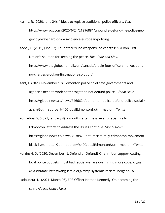Karma, R. (2020, June 24). 4 ideas to replace traditional police officers. *Vox*.

https://www.vox.com/2020/6/24/21296881/unbundle-defund-the-police-geor ge-floyd-rayshard-brooks-violence-european-policing

Keevil, G. (2019, June 23). Four officers, no weapons, no charges: A Yukon First Nation's solution for keeping the peace. *The Globe and Mail*. https://www.theglobeandmail.com/canada/article-four-officers-no-weaponsno-charges-a-yukon-first-nations-solution/

Kent, F. (2020, November 17). Edmonton police chief says governments and agencies need to work better together, not defund police. *Global News.* https://globalnews.ca/news/7466624/edmonton-police-defund-police-social-r acism/?utm\_source=%40GlobalEdmonton&utm\_medium=Twitter

Komadina, S. (2021, January 4). 7 months after massive anti-racism rally in Edmonton, efforts to address the issues continue. *Global News.*

https://globalnews.ca/news/7538828/anti-racism-rally-edmonton-movementblack-lives-matter/?utm\_source=%40GlobalEdmonton&utm\_medium=Twitter

Korzinski, D. (2020, December 1). Defend or Defund? One-in-four support cutting local police budgets; most back social welfare over hiring more cops. *Angus Reid Institute*. https://angusreid.org/rcmp-systemic-racism-indigenous/

Ladouceur, D. (2021, March 26). EPS Officer Nathan Kennedy: On becoming the calm. *Alberta Native News*.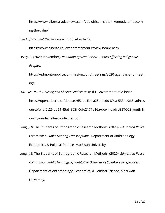https://www.albertanativenews.com/eps-officer-nathan-kennedy-on-becomi ng-the-calm/

*Law Enforcement Review Board*. (n.d.). Alberta.Ca.

https://www.alberta.ca/law-enforcement-review-board.aspx

Levey, A. (2020, November). *Roadmap-System Review – Issues Affecting Indigenous Peoples*.

https://edmontonpolicecommission.com/meetings/2020-agendas-and-meeti ngs/

*LGBTQ2S Youth Housing and Shelter Guidelines*. (n.d.). Government of Alberta.

https://open.alberta.ca/dataset/65abe1b1-a28a-4ed0-89ca-5334e9fc5cad/res ource/e4df2c25-ab59-45e3-803f-0dfe2177b16a/download/LGBTQ2S-youth-h ousing-and-shelter-guidelines.pdf

Long, J. & The Students of Ethnographic Research Methods. (2020). *Edmonton Police Commission Public Hearing Transcriptions*. Department of Anthropology, Economics, & Political Science, MacEwan University.

Long, J. & The Students of Ethnographic Research Methods. (2020). *Edmonton Police Commission Public Hearings: Quantitative Overview of Speaker's Perspectives*. Department of Anthropology, Economics, & Political Science, MacEwan University.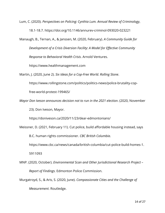Lum, C. (2020). *Perspectives on Policing: Cynthia Lum. Annual Review of Criminology*,

18.1-18.7. https://doi.org/10.1146/annurev-criminol-093020-023221

Manaugh, B., Ternan, A., & Janssen, M. (2020, February). *A Community Guide for Development of a Crisis Diversion Facility: A Model for Effective Community Response to Behavioral Health Crisis*. Arnold Ventures.

https://www.healthmanagement.com

Martin, J. (2020, June 2). *Six Ideas for a Cop-Free World. Rolling Stone*.

https://www.rollingstone.com/politics/politics-news/police-brutality-cop-

free-world-protest-199465/

*Mayor Don Iveson announces decision not to run in the 2021 election*. (2020, November

23). Don Iveson, Mayor.

https://doniveson.ca/2020/11/23/dear-edmontonians/

Meissner, D. (2021, February 11). Cut police, build affordable housing instead, says

B.C. human rights commissioner. *CBC British Columbia*.

https://www.cbc.ca/news/canada/british-columbia/cut-police-build-homes-1.

5911093

MNP. (2020, October). *Environmental Scan and Other Jurisdictional Research Project – Report of Findings.* Edmonton Police Commission.

Murgatroyd, S., & Aris, S. (2020, June). *Compassionate Cities and the Challenge of Measurement*. Routledge.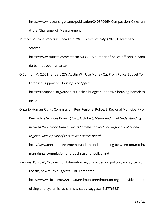https://www.researchgate.net/publication/340870969\_Compassion\_Cities\_an

d\_the\_Challenge\_of\_Measurement

*Number of police officers in Canada in 2019, by municipality.* (2020, December).

Statista.

https://www.statista.com/statistics/435997/number-of-police-officers-in-cana da-by-metropolitan-area/

O'Connor, M. (2021, January 27). Austin Will Use Money Cut From Police Budget To Establish Supportive Housing. *The Appeal.*

https://theappeal.org/austin-cut-police-budget-supportive-housing-homeless ness/

Ontario Human Rights Commission, Peel Regional Police, & Regional Municipality of Peel Police Services Board. (2020, October). *Memorandum of Understanding between the Ontario Human Rights Commission and Peel Regional Police and*

*Regional Municipality of Peel Police Services Board*.

http://www.ohrc.on.ca/en/memorandum-understanding-between-ontario-hu man-rights-commission-and-peel-regional-police-and

Parsons, P. (2020, October 26). Edmonton region divided on policing and systemic racism, new study suggests. CBC Edmonton.

https://www.cbc.ca/news/canada/edmonton/edmonton-region-divided-on-p olicing-and-systemic-racism-new-study-suggests-1.5776533?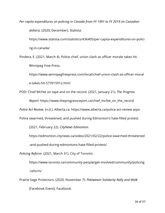*Per capita expenditures on policing in Canada from FY 1991 to FY 2019 (in Canadian dollars).* (2020, December). Statista.

https://www.statista.com/statistics/436405/per-capita-expenditures-on-polici ng-in-canada/

Pindera, E. (2021, March 4). Police chief, union clash as officer morale takes hit. Winnipeg Free Press.

https://www.winnipegfreepress.com/local/chief-union-clash-as-officer-moral e-takes-hit-573915912.html

POD: Chief McFee on tape and on the record. (2021, January 21). *The Progress*

*Report.* https://www.theprogressreport.ca/chief\_mcfee\_on\_the\_record

*Police Act Review*. (n.d.). Alberta.ca. https://www.alberta.ca/police-act-review.aspx

Police swarmed, threatened, and pushed during Edmonton's hate-filled protest.

(2021, February 22). *CityNews Edmonton.*

https://edmonton.citynews.ca/video/2021/02/22/police-swarmed-threatened -and-pushed-during-edmontons-hate-filled-protest/

*Policing Reform*. (2021, March 31). City of Toronto.

https://www.toronto.ca/community-people/get-involved/community/policing -reform/

Prairie Sage Protectors. (2020, November 7). *Pekiwewin Solidarity Rally and Walk* [Facebook Event]. Facebook.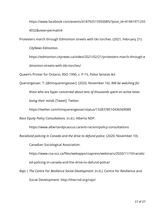https://www.facebook.com/events/418792515950085/?post\_id=41941971255 4032&view=permalink

Protesters march through Edmonton streets with tiki torches. (2021, February 21).

*CityNews Edmonton*.

https://edmonton.citynews.ca/video/2021/02/21/protesters-march-through-e dmonton-streets-with-tiki-torches/

Queen's Printer for Ontario, RSO 1990, c. P-15, *Police Services Act*

Querengesser, T. [@timquerengesser]. (2020, November 16). *Will be watching for those who are hyper concerned about tens of thousands spent on active lanes losing their minds* [Tweet]. Twitter.

https://twitter.com/timquerengesser/status/1328378510436569089

*Race Equity Policy Consultations.* (n.d.). Alberta NDP.

https://www.albertandpcaucus.ca/anti-racism/policy-consultations

*Racialized policing in Canada and the drive to defund police*. (2020, November 10).

Canadian Sociological Association.

https://www.csa-scs.ca/files/webapps/csapress/webinars/2020/11/10/racializ ed-policing-in-canada-and-the-drive-to-defund-police/

*Rajo | The Centre For Resilience Social Development*. (n.d.). Centre for Resilience and Social Development. http://thecrsd.org/rajo/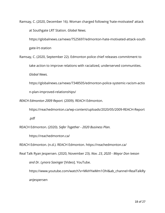Ramsay, C. (2020, December 16). Woman charged following 'hate-motivated' attack at Southgate LRT Station. *Global News.*

https://globalnews.ca/news/7525697/edmonton-hate-motivated-attack-south gate-lrt-station

Ramsay, C. (2020, September 22). Edmonton police chief releases commitment to take action to improve relations with racialized, underserved communities. *Global News.*

https://globalnews.ca/news/7348505/edmonton-police-systemic-racism-actio n-plan-improved-relationships/

*REACH Edmonton 2009 Report.* (2009). REACH Edmonton.

https://reachedmonton.ca/wp-content/uploads/2020/05/2009-REACH-Report .pdf

REACH Edmonton. (2020). *Safer Together - 2020 Business Plan.*

https://reachedmonton.ca/

REACH Edmonton. (n.d.). REACH Edmonton. https://reachedmonton.ca/

Real Talk Ryan Jespersen. (2020, November 23). *Nov. 23, 2020 - Mayor Don Iveson and Dr. Lynora Saxinger* [Video]. YouTube.

https://www.youtube.com/watch?v=MkHYwMm1OhI&ab\_channel=RealTalkRy anJespersen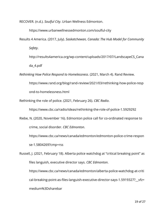RECOVER. (n.d.). *Soulful City*. Urban Wellness Edmonton.

https://www.urbanwellnessedmonton.com/soulful-city

- Results 4 America. (2017, July). *Saskatchewan, Canada: The Hub Model for Community Safety*.
	- http://results4america.org/wp-content/uploads/2017/07/LandscapeCS\_Cana da\_4.pdf

*Rethinking How Police Respond to Homelessness*. (2021, March 4). Rand Review.

https://www.rand.org/blog/rand-review/2021/03/rethinking-how-police-resp ond-to-homelessness.html

Rethinking the role of police. (2021, February 26). *CBC Radio*.

https://www.cbc.ca/radio/ideas/rethinking-the-role-of-police-1.5929292

Riebe, N. (2020, November 16). Edmonton police call for co-ordinated response to crime, social disorder. *CBC Edmonton*.

https://www.cbc.ca/news/canada/edmonton/edmonton-police-crime-respon se-1.5804269?cmp=rss

Russell, J. (2021, February 18). Alberta police watchdog at "critical breaking point" as files languish, executive director says. *CBC Edmonton*. https://www.cbc.ca/news/canada/edmonton/alberta-police-watchdog-at-criti

cal-breaking-point-as-files-languish-executive-director-says-1.5919327?\_\_vfz= medium%3Dsharebar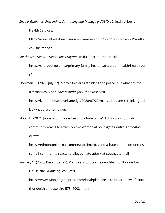*Shelter Guidance: Preventing, Controlling and Managing COVID-19*. (n.d.). Alberta

Health Services.

https://www.albertahealthservices.ca/assets/info/ppih/if-ppih-covid-19-outbr eak-shelter.pdf

*Sherbourne Health - Health Bus Program*. (n.d.). Sherbourne Health.

https://sherbourne.on.ca/primary-family-health-care/urban-health/health-bu s/

Sherman, S. (2020, July 22). Many cities are rethinking the police, but what are the alternatives? *The Kinder Institute for Urban Research*. https://kinder.rice.edu/urbanedge/2020/07/22/many-cities-are-rethinking-pol

ice-what-are-alternatives

Short, D. (2021, January 8). "This is beyond a hate crime": Edmonton's Somali community reacts to attack on two women at Southgate Centre. *Edmonton Journal*.

https://edmontonjournal.com/news/crime/beyond-a-hate-crime-edmontons-

somali-community-reacts-to-alleged-hate-attack-at-southgate-mall

Sinclair, N. (2020, December 23). Plan seeks to breathe new life into Thunderbird House site. *Winnipeg Free Press*.

https://www.winnipegfreepress.com/local/plan-seeks-to-breath-new-life-intothunderbird-house-site-573460081.html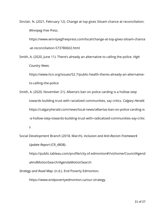Sinclair, N. (2021, February 12). Change at top gives Siloam chance at reconciliation. *Winnipeg Free Press*.

https://www.winnipegfreepress.com/local/change-at-top-gives-siloam-chance -at-reconciliation-573780602.html

Smith, A. (2020, June 11). There's already an alternative to calling the police. *High Country News*.

https://www.hcn.org/issues/52.7/public-health-theres-already-an-alternativeto-calling-the-police

Smith, A. (2020, November 21). Alberta's ban on police carding is a hollow step towards building trust with racialized communities, say critics. *Calgary Herald.* https://calgaryherald.com/news/local-news/albertas-ban-on-police-carding-is -a-hollow-step-towards-building-trust-with-radicalized-communities-say-critic s

Social Development Branch (2018, March). *Inclusion and Anti-Racism Framework Update Report* (CR\_4808).

https://public.tableau.com/profile/city.of.edmonton#!/vizhome/CouncilAgend aAndMotionSearch/AgendaMotionSearch

*Strategy and Road Map*. (n.d.). End Poverty Edmonton.

https://www.endpovertyedmonton.ca/our-strategy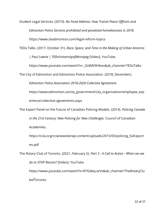Student Legal Services. (2019). *No Fixed Address: How Transit Peace Officers and Edmonton Police Services prohibited and penalized homelessness in 2018.* https://www.slsedmonton.com/legal-reform-topics

TEDx Talks. (2017, October 31). *Race, Space, and Time in the Making of Urban America | Paul Lawrie | TEDxUniversityofWinnipeg* [Video]. YouTube.

https://www.youtube.com/watch?v=\_Gi4MV9HKao&ab\_channel=TEDxTalks

The City of Edmonton and Edmonton Police Association. (2018, December).

*Edmonton Police Association 2018-2020 Collective Agreement*.

https://www.edmonton.ca/city\_government/city\_organization/employee\_exp erience/collective-agreements.aspx

The Expert Panel on the Future of Canadian Policing Models. (2014). *Policing Canada in the 21st Century: New Policing for New Challenges.* Council of Canadian Academies.

https://ccla.org/cclanewsite/wp-content/uploads/2015/05/policing\_fullreport en.pdf

The Rotary Club of Toronto. (2021, February 5). *Part 3 - A Call to Action - What can we do to STOP Racism?* [Video]. YouTube.

https://www.youtube.com/watch?v=87GAbq-arVs&ab\_channel=TheRotaryClu bofToronto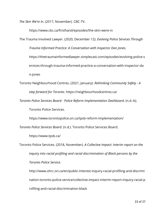*The Skin We're In.* (2017, November). CBC-TV.

https://www.cbc.ca/firsthand/episodes/the-skin-were-in

The Trauma Involved Lawyer. (2020, December 12). *Evolving Police Services Through Trauma Informed Practice: A Conversation with Inspector Dan Jones.* https://thetraumainformedlawyer.simplecast.com/episodes/evolving-police-s ervices-through-trauma-informed-practice-a-conversation-with-inspector-da n-jones

Toronto Neighbourhood Centres. (2021, January). *Rethinking Community Safety - A step forward for Toronto*. https://neighbourhoodcentres.ca/

*Toronto Police Services Board - Police Reform Implementation Dashboard.* (n.d.-b). Toronto Police Services.

https://www.torontopolice.on.ca/tpsb-reform-implementation/

*Toronto Police Services Board*. (n.d.). Toronto Police Services Board.

https://www.tpsb.ca/

Toronto Police Services. (2018, November). *A Collective Impact: Interim report on the inquiry into racial profiling and racial discrimination of Black persons by the Toronto Police Service*.

http://www.ohrc.on.ca/en/public-interest-inquiry-racial-profiling-and-discrimi nation-toronto-police-service/collective-impact-interim-report-inquiry-racial-p rofiling-and-racial-discrimination-black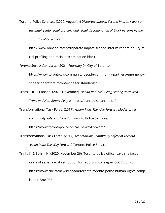Toronto Police Services. (2020, August). *A Disparate Impact: Second interim report on the inquiry into racial profiling and racial discrimination of Black persons by the Toronto Police Service*.

http://www.ohrc.on.ca/en/disparate-impact-second-interim-report-inquiry-ra cial-profiling-and-racial-discrimination-black

*Toronto Shelter Standards*. (2021, February 9). City of Toronto.

https://www.toronto.ca/community-people/community-partners/emergencyshelter-operators/toronto-shelter-standards/

Trans PULSE Canada. (2020, November). *Health and Well-Being Among Racialized Trans and Non-Binary People*. https://transpulsecanada.ca/

Transformational Task Force. (2017). *Action Plan: The Way Forward Modernizing*

*Community Safety in Toronto*. Toronto Police Services.

https://www.torontopolice.on.ca/TheWayForward/

Transformational Task Force. (2017). *Modernizing Community Safety in Toronto – Action Plan: The Way Forward.* Toronto Police Service.

Trinh, J., & Baksh, N. (2020, November 26). Toronto police officer says she faced years of sexist, racist retribution for reporting colleague. *CBC Toronto.* https://www.cbc.ca/news/canada/toronto/toronto-police-human-rights-comp laint-1.5804937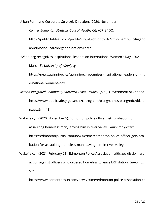Urban Form and Corporate Strategic Direction. (2020, November).

*ConnectEdmonton Strategic Goal of Healthy City* (CR\_8450)*.*

https://public.tableau.com/profile/city.of.edmonton#!/vizhome/CouncilAgend

aAndMotionSearch/AgendaMotionSearch

UWinnipeg recognizes inspirational leaders on International Women's Day. (2021,

March 8). *University of Winnipeg.*

https://news.uwinnipeg.ca/uwinnipeg-recognizes-inspirational-leaders-on-int ernational-womens-day

*Victoria Integrated Community Outreach Team (Details)*. (n.d.). Government of Canada. https://www.publicsafety.gc.ca/cnt/cntrng-crm/plcng/cnmcs-plcng/ndx/dtls-e n.aspx?n=118

Wakefield, J. (2020, November 5). Edmonton police officer gets probation for assaulting homeless man, leaving him in river valley. *Edmonton Journal.* https://edmontonjournal.com/news/crime/edmonton-police-officer-gets-pro bation-for-assaulting-homeless-man-leaving-him-in-river-valley

Wakefield, J. (2021, February 21). Edmonton Police Association criticizes disciplinary action against officers who ordered homeless to leave LRT station. *Edmonton Sun.*

https://www.edmontonsun.com/news/crime/edmonton-police-association-cr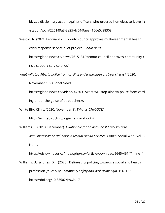iticizes-disciplinary-action-against-officers-who-ordered-homeless-to-leave-lrt -station/wcm/225149a3-3e25-4c54-9aee-f166e5c88308

Westoll, N. (2021, February 2). Toronto council approves multi-year mental health crisis response service pilot project. *Global News.*

https://globalnews.ca/news/7615131/toronto-council-approves-community-c

risis-support-service-pilot/

*What will stop Alberta police from carding under the guise of street checks?* (2020,

November 19). Global News.

https://globalnews.ca/video/7473031/what-will-stop-alberta-police-from-card ing-under-the-guise-of-street-checks

White Bird Clinic. (2020, November 8). *What is CAHOOTS?*

https://whitebirdclinic.org/what-is-cahoots/

Williams, C. (2018, December). *A Rationale for an Anti-Racist Entry Point to Anti-Oppressive Social Work in Mental Health Services*. Critical Social Work Vol. 3 No. 1.

https://ojs.uwindsor.ca/index.php/csw/article/download/5645/4614?inline=1

Williams, U., & Jones, D. J. (2020). Delineating policing towards a social and health profession. *Journal of Community Safety and Well-Being*, 5(4), 156–163. https://doi.org/10.35502/jcswb.171